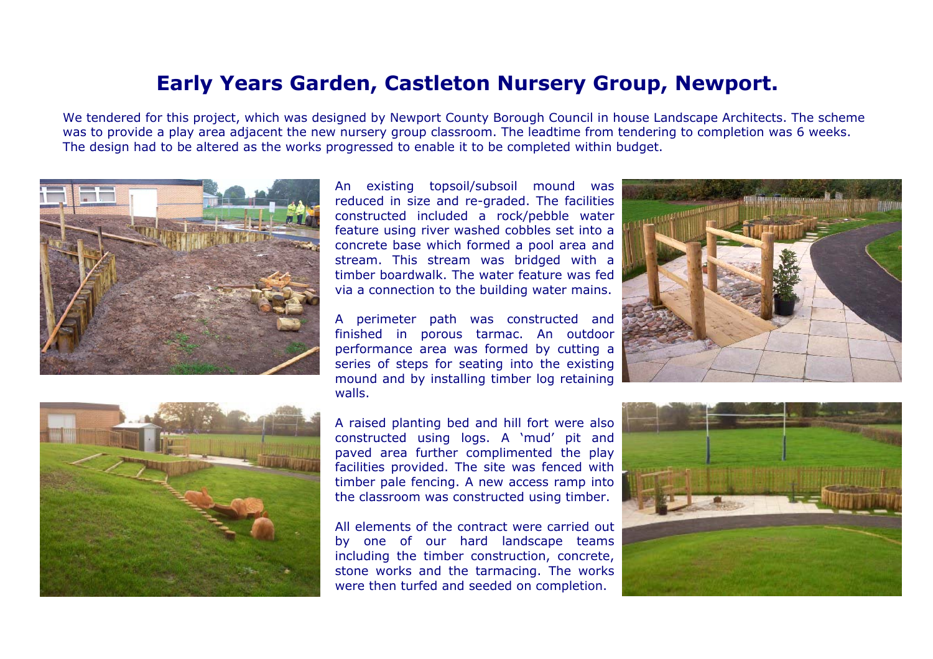## **Early Years Garden, Castleton Nursery Group, Newport.**

We tendered for this project, which was designed by Newport County Borough Council in house Landscape Architects. The scheme was to provide a play area adjacent the new nursery group classroom. The leadtime from tendering to completion was 6 weeks. The design had to be altered as the works progressed to enable it to be completed within budget.





An existing topsoil/subsoil mound was reduced in size and re-graded. The facilities constructed included a rock/pebble water feature using river washed cobbles set into a concrete base which formed a pool area and stream. This stream was bridged with a timber boardwalk. The water feature was fedvia a connection to the building water mains.

A perimeter path was constructed and finished in porous tarmac. An outdoor performance area was formed by cutting a series of steps for seating into the existing mound and by installing timber log retaining walls.

A raised planting bed and hill fort were also constructed using logs. A 'mud' pit and paved area further complimented the play facilities provided. The site was fenced with timber pale fencing. A new access ramp into the classroom was constructed using timber.

All elements of the contract were carried outby one of our hard landscape teams including the timber construction, concrete, stone works and the tarmacing. The works were then turfed and seeded on completion.